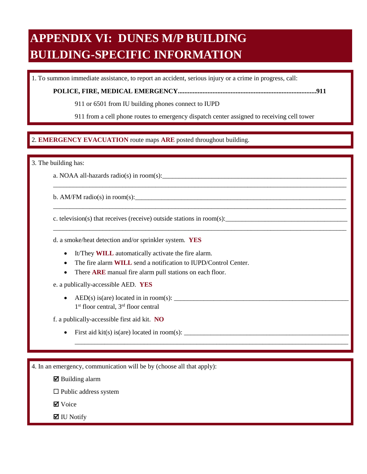## **APPENDIX VI: DUNES M/P BUILDING BUILDING-SPECIFIC INFORMATION**

1. To summon immediate assistance, to report an accident, serious injury or a crime in progress, call:

**POLICE, FIRE, MEDICAL EMERGENCY....................................................................................911** 

911 or 6501 from IU building phones connect to IUPD

911 from a cell phone routes to emergency dispatch center assigned to receiving cell tower

\_\_\_\_\_\_\_\_\_\_\_\_\_\_\_\_\_\_\_\_\_\_\_\_\_\_\_\_\_\_\_\_\_\_\_\_\_\_\_\_\_\_\_\_\_\_\_\_\_\_\_\_\_\_\_\_\_\_\_\_\_\_\_\_\_\_\_\_\_\_\_\_\_\_\_\_\_\_\_\_\_\_\_\_\_\_\_\_\_

\_\_\_\_\_\_\_\_\_\_\_\_\_\_\_\_\_\_\_\_\_\_\_\_\_\_\_\_\_\_\_\_\_\_\_\_\_\_\_\_\_\_\_\_\_\_\_\_\_\_\_\_\_\_\_\_\_\_\_\_\_\_\_\_\_\_\_\_\_\_\_\_\_\_\_\_\_\_\_\_\_\_\_\_\_\_\_\_\_

\_\_\_\_\_\_\_\_\_\_\_\_\_\_\_\_\_\_\_\_\_\_\_\_\_\_\_\_\_\_\_\_\_\_\_\_\_\_\_\_\_\_\_\_\_\_\_\_\_\_\_\_\_\_\_\_\_\_\_\_\_\_\_\_\_\_\_\_\_\_\_\_\_\_\_\_\_\_\_\_\_\_\_\_\_\_\_\_\_

\_\_\_\_\_\_\_\_\_\_\_\_\_\_\_\_\_\_\_\_\_\_\_\_\_\_\_\_\_\_\_\_\_\_\_\_\_\_\_\_\_\_\_\_\_\_\_\_\_\_\_\_\_\_\_\_\_\_\_\_\_\_\_\_\_\_\_\_\_\_\_\_\_\_\_\_\_\_\_\_\_\_\_

## $\overline{a}$ 2. EMERGENCY EVACUATION route maps ARE posted throughout building. 2. **EMERGENCY EVACUATION** route maps **ARE** posted throughout building.

3. The building has:

a. NOAA all-hazards radio(s) in room(s):

b. AM/FM radio(s) in room(s):

c. television(s) that receives (receive) outside stations in room(s):

d. a smoke/heat detection and/or sprinkler system. **YES** 

- It/They **WILL** automatically activate the fire alarm.
- The fire alarm **WILL** send a notification to IUPD/Control Center.
- There **ARE** manual fire alarm pull stations on each floor.

e. a publically-accessible AED. **YES** 

• AED(s) is(are) located in in room(s):  $\frac{1}{\sqrt{1-\frac{1}{2}}}\left\{ \frac{1}{2}, \frac{1}{2}, \frac{1}{2}, \frac{1}{2}, \frac{1}{2}, \frac{1}{2}, \frac{1}{2}, \frac{1}{2}, \frac{1}{2}, \frac{1}{2}, \frac{1}{2}, \frac{1}{2}, \frac{1}{2}, \frac{1}{2}, \frac{1}{2}, \frac{1}{2}, \frac{1}{2}, \frac{1}{2}, \frac{1}{2}, \frac{1}{2}, \frac{1}{2}, \frac{1}{2}, \frac{1}{2$ 1<sup>st</sup> floor central, 3<sup>rd</sup> floor central

f. a publically-accessible first aid kit. **NO** 

• First aid kit(s) is(are) located in room(s):  $\qquad$ 

4. In an emergency, communication will be by (choose all that apply):

 $\boxtimes$  Building alarm

 $\square$  Public address system

**Ø** Voice

 $\blacksquare$  IU Notify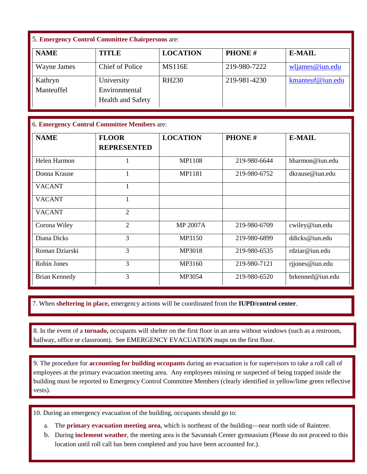## 5. **Emergency Control Committee Chairpersons** are:

| <b>NAME</b>           | <b>TITLE</b>                                            | <b>LOCATION</b> | <b>PHONE#</b> | <b>E-MAIL</b>      |
|-----------------------|---------------------------------------------------------|-----------------|---------------|--------------------|
| Wayne James           | <b>Chief of Police</b>                                  | <b>MS116E</b>   | 219-980-7222  | $w$ ljames@iun.edu |
| Kathryn<br>Manteuffel | University<br>Environmental<br><b>Health and Safety</b> | <b>RH230</b>    | 219-981-4230  | kmanteuf@iun.edu   |

## 6. **Emergency Control Committee Members** are:

| <b>NAME</b>          | <b>FLOOR</b><br><b>REPRESENTED</b> | <b>LOCATION</b> | <b>PHONE#</b> | <b>E-MAIL</b>    |
|----------------------|------------------------------------|-----------------|---------------|------------------|
| Helen Harmon         | 1                                  | <b>MP1108</b>   | 219-980-6644  | hharmon@iun.edu  |
| Donna Krause         |                                    | MP1181          | 219-980-6752  | dkrause@ium.edu  |
| <b>VACANT</b>        |                                    |                 |               |                  |
| <b>VACANT</b>        |                                    |                 |               |                  |
| <b>VACANT</b>        | $\overline{2}$                     |                 |               |                  |
| Corona Wiley         | $\overline{2}$                     | <b>MP 2007A</b> | 219-980-6709  | cwiley@iun.edu   |
| Diana Dicks          | 3                                  | MP3150          | 219-980-6899  | ddicks@ium.edu   |
| Roman Dziarski       | 3                                  | MP3018          | 219-980-6535  | rdziar@iun.edu   |
| Robin Jones          | 3                                  | MP3160          | 219-980-7121  | rjjones@iun.edu  |
| <b>Brian Kennedy</b> | 3                                  | MP3054          | 219-980-6520  | brkenned@iun.edu |

7. When sheltering in place, emergency actions will be coordinated from the IUPD/control center. 7. When **sheltering in place,** emergency actions will be coordinated from the **IUPD/control center**.

 $\ddot{\phantom{0}}$ 8. In the event of a **tornado**, occupants will shelter on the first floor in an area without windows (such as a restroom, hallway, office or classroom). See EMERGENCY EVACUATION maps on the first floor. 8. In the event of a **tornado,** occupants will shelter on the first floor in an area without windows (such as a restroom, hallway, office or classroom). See EMERGENCY EVACUATION maps on the first floor.

 9. The procedure for **accounting for building occupants** during an evacuation is for supervisors to take a roll call of employees at the primary evacuation meeting area. Any employees missing or suspected of being trapped inside the building must be reported to Emergency Control Committee Members (clearly identified in yellow/lime green reflective vests).

10. During an emergency evacuation of the building, occupants should go to:

- a. The **primary evacuation meeting area,** which is northeast of the building—near north side of Raintree.
- b. During **inclement weather**, the meeting area is the Savannah Center gymnasium (Please do not proceed to this location until roll call has been completed and you have been accounted for.).